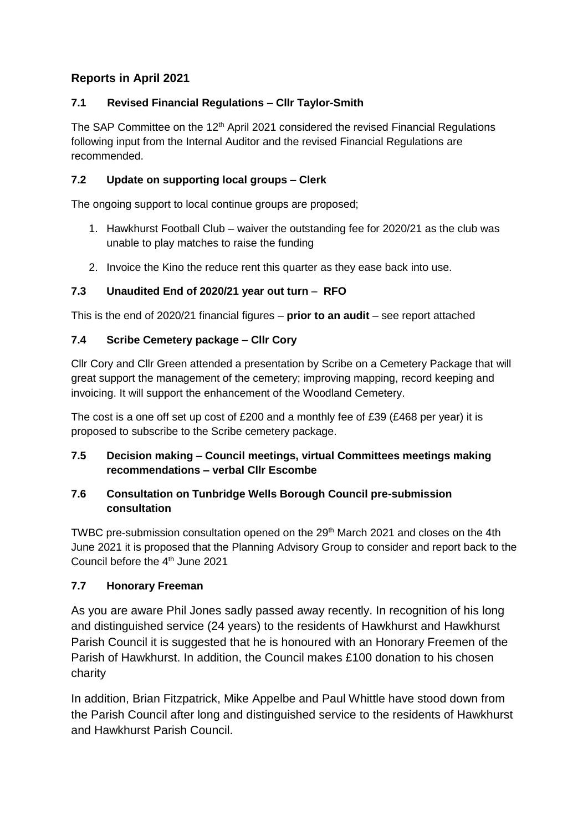## **Reports in April 2021**

## **7.1 Revised Financial Regulations – Cllr Taylor-Smith**

The SAP Committee on the  $12<sup>th</sup>$  April 2021 considered the revised Financial Regulations following input from the Internal Auditor and the revised Financial Regulations are recommended.

### **7.2 Update on supporting local groups – Clerk**

The ongoing support to local continue groups are proposed;

- 1. Hawkhurst Football Club waiver the outstanding fee for 2020/21 as the club was unable to play matches to raise the funding
- 2. Invoice the Kino the reduce rent this quarter as they ease back into use.

#### **7.3 Unaudited End of 2020/21 year out turn** – **RFO**

This is the end of 2020/21 financial figures – **prior to an audit** – see report attached

#### **7.4 Scribe Cemetery package – Cllr Cory**

Cllr Cory and Cllr Green attended a presentation by Scribe on a Cemetery Package that will great support the management of the cemetery; improving mapping, record keeping and invoicing. It will support the enhancement of the Woodland Cemetery.

The cost is a one off set up cost of £200 and a monthly fee of £39 (£468 per year) it is proposed to subscribe to the Scribe cemetery package.

#### **7.5 Decision making – Council meetings, virtual Committees meetings making recommendations – verbal Cllr Escombe**

#### **7.6 Consultation on Tunbridge Wells Borough Council pre-submission consultation**

TWBC pre-submission consultation opened on the 29<sup>th</sup> March 2021 and closes on the 4th June 2021 it is proposed that the Planning Advisory Group to consider and report back to the Council before the 4<sup>th</sup> June 2021

#### **7.7 Honorary Freeman**

As you are aware Phil Jones sadly passed away recently. In recognition of his long and distinguished service (24 years) to the residents of Hawkhurst and Hawkhurst Parish Council it is suggested that he is honoured with an Honorary Freemen of the Parish of Hawkhurst. In addition, the Council makes £100 donation to his chosen charity

In addition, Brian Fitzpatrick, Mike Appelbe and Paul Whittle have stood down from the Parish Council after long and distinguished service to the residents of Hawkhurst and Hawkhurst Parish Council.